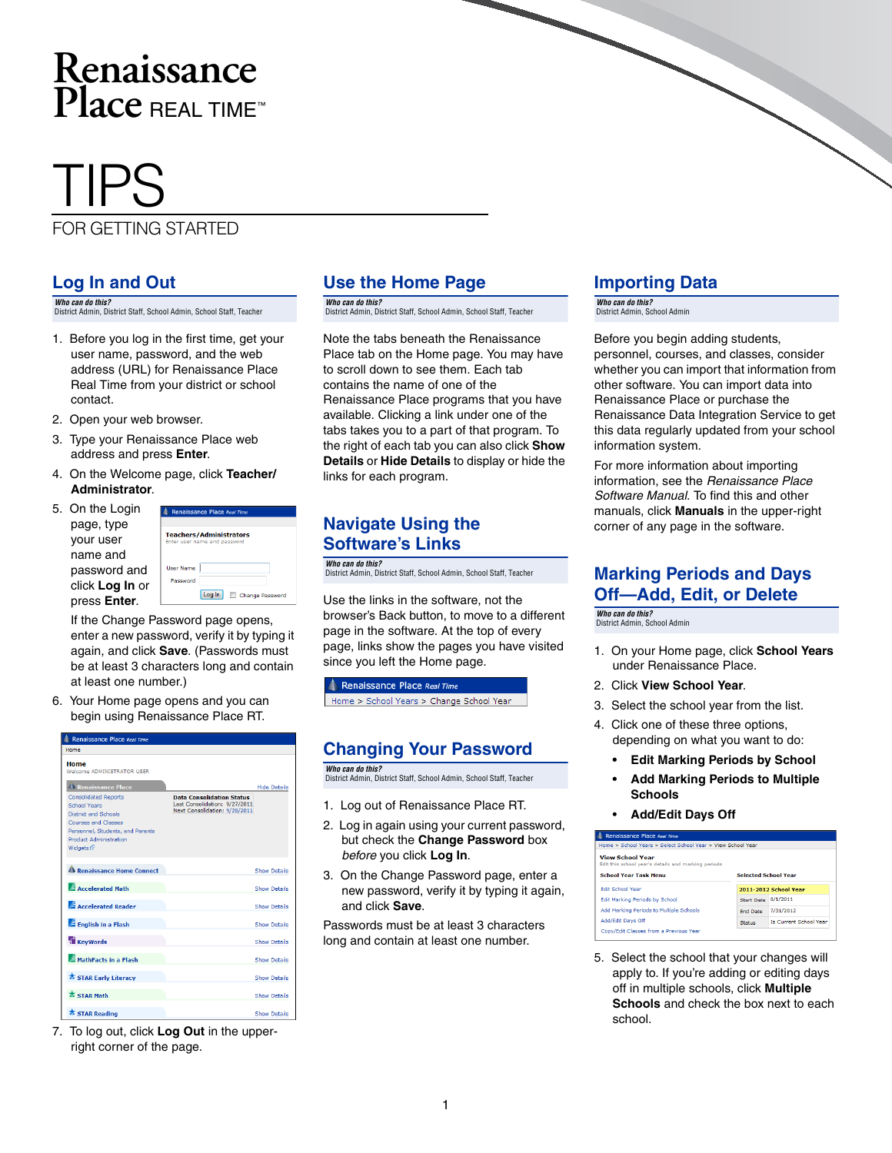## **Renaissance Place** REAL TIME™

# TIPS

#### FOR GETTING STARTED

#### **Log In and Out**

*Who can do this?*  District Admin, District Staff, School Admin, School Staff, Teacher

- 1. Before you log in the first time, get your user name, password, and the web address (URL) for Renaissance Place Real Time from your district or school contact.
- 2. Open your web browser.
- 3. Type your Renaissance Place web address and press **Enter**.
- 4. On the Welcome page, click **Teacher/ Administrator**.

| 5. On the Login | ð۵            |
|-----------------|---------------|
| page, type      |               |
| your user       | Tear<br>Enter |
| name and        |               |
| password and    | User          |
| click Log In or | Pas           |
| press Enter.    |               |

If the Change Password page opens, enter a new password, verify it by typing it again, and click **Save**. (Passwords must be at least 3 characters long and contain at least one number.)

hers/Administrators

Log In Change Password

6. Your Home page opens and you can begin using Renaissance Place RT.

| Renaissance Place Real Time                                                                                                                                                                                                                                      |                                                                                                    |                     |
|------------------------------------------------------------------------------------------------------------------------------------------------------------------------------------------------------------------------------------------------------------------|----------------------------------------------------------------------------------------------------|---------------------|
| Home                                                                                                                                                                                                                                                             |                                                                                                    |                     |
| Home<br>Welcome ADMINISTRATOR USER<br><b>Renaissance Place</b><br><b>Consolidated Reports</b><br>School Years<br><b>District and Schools</b><br>Courses and Classes<br>Personnel, Students, and Parents<br><b>Product Administration</b><br>Widgets <sup>®</sup> | <b>Data Consolidation Status</b><br>Last Consolidation: 9/27/2011<br>Next Consolidation: 9/28/2011 | <b>Hide Details</b> |
| Renaissance Home Connect                                                                                                                                                                                                                                         |                                                                                                    | <b>Show Details</b> |
| <b>Accelerated Math</b>                                                                                                                                                                                                                                          |                                                                                                    | <b>Show Details</b> |
| <b>Accelerated Reader</b>                                                                                                                                                                                                                                        |                                                                                                    | <b>Show Details</b> |
| English in a Flash                                                                                                                                                                                                                                               |                                                                                                    | <b>Show Details</b> |
| <b>KeyWords</b>                                                                                                                                                                                                                                                  |                                                                                                    | <b>Show Details</b> |
| MathFacts in a Flash                                                                                                                                                                                                                                             |                                                                                                    | <b>Show Details</b> |
| STAR Early Literacy                                                                                                                                                                                                                                              |                                                                                                    | <b>Show Details</b> |
| <b>X STAR Math</b>                                                                                                                                                                                                                                               |                                                                                                    | <b>Show Details</b> |
| STAR Reading                                                                                                                                                                                                                                                     |                                                                                                    | Show Details        |

7. To log out, click **Log Out** in the upperright corner of the page.

#### **Use the Home Page**

*Who can do this?*  District Admin, District Staff, School Admin, School Staff, Teacher

Note the tabs beneath the Renaissance Place tab on the Home page. You may have to scroll down to see them. Each tab contains the name of one of the Renaissance Place programs that you have available. Clicking a link under one of the tabs takes you to a part of that program. To the right of each tab you can also click **Show Details** or **Hide Details** to display or hide the links for each program.

#### **Navigate Using the Software's Links**

*Who can do this?*  District Admin, District Staff, School Admin, School Staff, Teacher

Use the links in the software, not the browser's Back button, to move to a different page in the software. At the top of every page, links show the pages you have visited since you left the Home page.

Renaissance Place Real Time Home > School Years > Change School Year

#### **Changing Your Password**

*Who can do this?*  District Admin, District Staff, School Admin, School Staff, Teacher

- 1. Log out of Renaissance Place RT.
- 2. Log in again using your current password, but check the **Change Password** box *before* you click **Log In**.
- 3. On the Change Password page, enter a new password, verify it by typing it again, and click **Save**.

Passwords must be at least 3 characters long and contain at least one number.

#### **Importing Data**

*Who can do this?*  District Admin, School Admin

Before you begin adding students, personnel, courses, and classes, consider whether you can import that information from other software. You can import data into Renaissance Place or purchase the Renaissance Data Integration Service to get this data regularly updated from your school information system.

For more information about importing information, see the *Renaissance Place Software Manual*. To find this and other manuals, click **Manuals** in the upper-right corner of any page in the software.

#### **Marking Periods and Days Off—Add, Edit, or Delete**

*Who can do this?*  District Admin, School Admin

- 1. On your Home page, click **School Years** under Renaissance Place.
- 2. Click **View School Year**.
- 3. Select the school year from the list.
- 4. Click one of these three options, depending on what you want to do:
	- **Edit Marking Periods by School**
	- **Add Marking Periods to Multiple Schools**
	- **Add/Edit Days Off**



5. Select the school that your changes will apply to. If you're adding or editing days off in multiple schools, click **Multiple Schools** and check the box next to each school.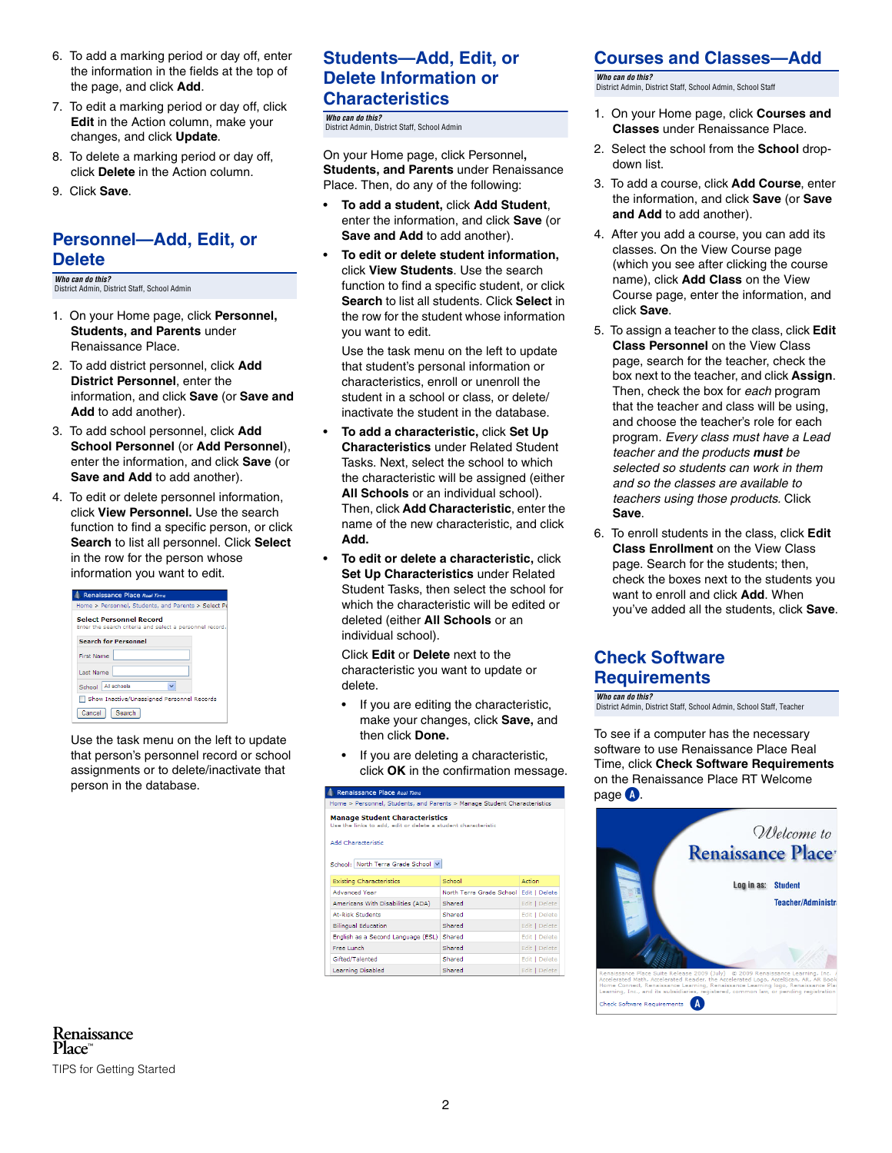- 6. To add a marking period or day off, enter the information in the fields at the top of the page, and click **Add**.
- 7. To edit a marking period or day off, click **Edit** in the Action column, make your changes, and click **Update**.
- 8. To delete a marking period or day off, click **Delete** in the Action column.
- 9. Click **Save**.

#### **Personnel—Add, Edit, or Delete**

*Who can do this?*  District Admin, District Staff, School Admin

- 1. On your Home page, click **Personnel, Students, and Parents** under Renaissance Place.
- 2. To add district personnel, click **Add District Personnel**, enter the information, and click **Save** (or **Save and Add** to add another).
- 3. To add school personnel, click **Add School Personnel** (or **Add Personnel**), enter the information, and click **Save** (or **Save and Add** to add another).
- 4. To edit or delete personnel information, click **View Personnel.** Use the search function to find a specific person, or click **Search** to list all personnel. Click **Select** in the row for the person whose information you want to edit.

| <b>Renaissance Place Real Time</b><br>Home > Personnel, Students, and Parents > Select Pe  |
|--------------------------------------------------------------------------------------------|
| <b>Select Personnel Record</b><br>Enter the search criteria and select a personnel record. |
| <b>Search for Personnel</b>                                                                |
| <b>First Name</b>                                                                          |
| Last Name                                                                                  |
| School   All schools                                                                       |
| □ Show Inactive/Unassigned Personnel Records                                               |
| Cancel  <br>Search                                                                         |

Use the task menu on the left to update that person's personnel record or school assignments or to delete/inactivate that person in the database.

#### **Students—Add, Edit, or Delete Information or Characteristics**

*Who can do this?*  District Admin, District Staff, School Admin

On your Home page, click Personnel**, Students, and Parents** under Renaissance Place. Then, do any of the following:

- **To add a student,** click **Add Student**, enter the information, and click **Save** (or **Save and Add** to add another).
- **To edit or delete student information,** click **View Students**. Use the search function to find a specific student, or click **Search** to list all students. Click **Select** in the row for the student whose information you want to edit.

Use the task menu on the left to update that student's personal information or characteristics, enroll or unenroll the student in a school or class, or delete/ inactivate the student in the database.

- **To add a characteristic,** click **Set Up Characteristics** under Related Student Tasks. Next, select the school to which the characteristic will be assigned (either **All Schools** or an individual school). Then, click **Add Characteristic**, enter the name of the new characteristic, and click **Add.**
- **To edit or delete a characteristic,** click **Set Up Characteristics** under Related Student Tasks, then select the school for which the characteristic will be edited or deleted (either **All Schools** or an individual school).

Click **Edit** or **Delete** next to the characteristic you want to update or delete.

- If you are editing the characteristic, make your changes, click **Save,** and then click **Done.**
- If you are deleting a characteristic, click **OK** in the confirmation message.

| Renaissance Place Real Time                                                                            |                          |               |  |  |
|--------------------------------------------------------------------------------------------------------|--------------------------|---------------|--|--|
| Home > Personnel, Students, and Parents > Manage Student Characteristics                               |                          |               |  |  |
| <b>Manage Student Characteristics</b><br>Use the links to add, edit or delete a student characteristic |                          |               |  |  |
| Add Characteristic<br>School: North Terra Grade School V                                               |                          |               |  |  |
| <b>Existing Characteristics</b>                                                                        | School                   | Action        |  |  |
| <b>Advanced Year</b>                                                                                   | North Terra Grade School | Edit   Delete |  |  |
| Americans With Disabilities (ADA)                                                                      | Shared                   | Edit   Delete |  |  |
| At-Risk Students                                                                                       | Shared                   | Edit   Delete |  |  |
| <b>Bilingual Education</b>                                                                             | Shared                   | Edit   Delete |  |  |
| English as a Second Language (ESL) Shared                                                              |                          | Edit   Delete |  |  |
| Free Lunch                                                                                             | Shared                   | Edit   Delete |  |  |
| Gifted/Talented                                                                                        | Shared                   | Edit   Delete |  |  |
| Learning Disabled                                                                                      | Shared                   | Edit   Delete |  |  |

#### **Courses and Classes—Add**

*Who can do this?*  District Admin, District Staff, School Admin, School Staff

- 1. On your Home page, click **Courses and Classes** under Renaissance Place.
- 2. Select the school from the **School** dropdown list.
- 3. To add a course, click **Add Course**, enter the information, and click **Save** (or **Save and Add** to add another).
- 4. After you add a course, you can add its classes. On the View Course page (which you see after clicking the course name), click **Add Class** on the View Course page, enter the information, and click **Save**.
- 5. To assign a teacher to the class, click **Edit Class Personnel** on the View Class page, search for the teacher, check the box next to the teacher, and click **Assign**. Then, check the box for *each* program that the teacher and class will be using, and choose the teacher's role for each program. *Every class must have a Lead teacher and the products must be selected so students can work in them and so the classes are available to teachers using those products.* Click **Save**.
- 6. To enroll students in the class, click **Edit Class Enrollment** on the View Class page. Search for the students; then, check the boxes next to the students you want to enroll and click **Add**. When you've added all the students, click **Save**.

#### **Check Software Requirements**

*Who can do this?*  District Admin, District Staff, School Admin, School Staff, Teacher

To see if a computer has the necessary software to use Renaissance Place Real Time, click **Check Software Requirements** on the Renaissance Place RT Welcome page **A**.

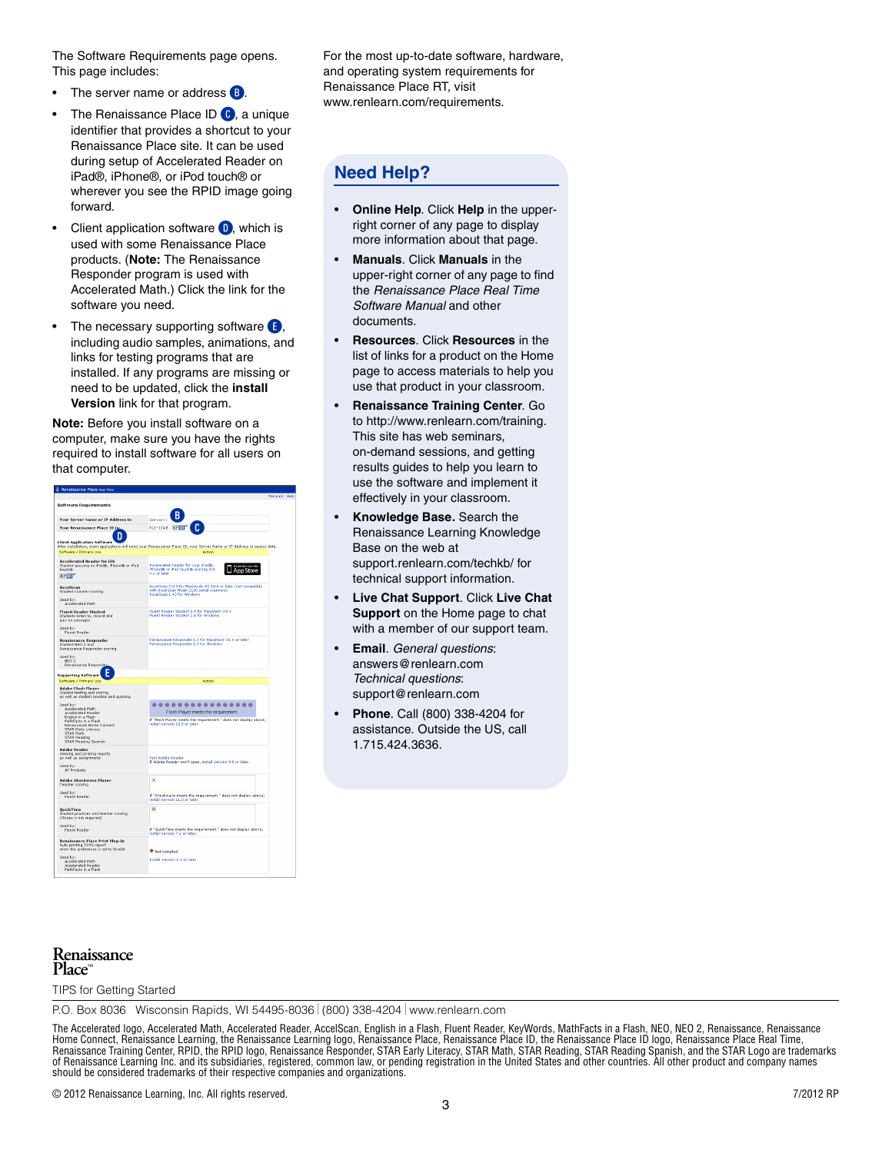The Software Requirements page opens. This page includes:

- The server name or address **B**.
- The Renaissance Place ID C, a unique identifier that provides a shortcut to your Renaissance Place site. It can be used during setup of Accelerated Reader on iPad®, iPhone®, or iPod touch® or wherever you see the RPID image going forward.
- Client application software  $\mathbf{D}$ , which is used with some Renaissance Place products. (**Note:** The Renaissance Responder program is used with Accelerated Math.) Click the link for the software you need.
- The necessary supporting software  $\blacksquare$ , including audio samples, animations, and links for testing programs that are installed. If any programs are missing or need to be updated, click the **install Version** link for that program.

**Note:** Before you install software on a computer, make sure you have the rights required to install software for all users on that computer.

| <b>Software Requirements</b>                                                                                                                                                                                    |                                                                                                                                               |  |  |
|-----------------------------------------------------------------------------------------------------------------------------------------------------------------------------------------------------------------|-----------------------------------------------------------------------------------------------------------------------------------------------|--|--|
| <b>Your Server Name or IP Address is:</b>                                                                                                                                                                       | Server-1                                                                                                                                      |  |  |
| Your Renaissance Place ID is:                                                                                                                                                                                   | RLI-12AB RP ID"                                                                                                                               |  |  |
| п<br><b>Client Application Software</b><br>Software / Primary Use                                                                                                                                               | After installation, dient applications will need your Renaissance Place ID, your Server Name or IP Address to access data.<br>Artion          |  |  |
| <b>Accelerated Reader for IOS</b><br>Student quizzing on iPad®, iPhone® or iPod<br>touch®<br><b>RPID"</b>                                                                                                       | Accelerated Reader for your iPad®<br>iPhone® or iPod touch® running iOS<br>4.x or later                                                       |  |  |
| AccelScan<br>Student scanner scoring<br>Used by:<br>Accelerated Math                                                                                                                                            | AccelScan 2.0.3 for Macintosh OS 10.4 or later (not compatible<br>with AccelScan Model 1100 serial scanners)<br>AccelScan 1.43 for Windows    |  |  |
| <b>Fluent Reader Student</b><br>Students listen to, record and<br>quiz on passages<br>Used by:<br><b>Fluent Reader</b>                                                                                          | Fluent Reader Student 2.4 for Magntosh OS X<br><b>Fluent Reader Student 2.4 for Windows</b>                                                   |  |  |
| <b>Renaissance Responder</b><br>Student NEO 2 and<br>Renaissance Responder scoring                                                                                                                              | Renaissance Responder 1.7 for Macintosh OS X or later<br>Renaissance Responder 1.7 for Windows                                                |  |  |
| Used by:<br>NEO <sub>2</sub><br>Renaissance Responder                                                                                                                                                           |                                                                                                                                               |  |  |
| <b>Supporting Software</b><br>Software / Primary Use                                                                                                                                                            | Action                                                                                                                                        |  |  |
| <b>Adobe Flash Player</b>                                                                                                                                                                                       |                                                                                                                                               |  |  |
| Student testing and scoring<br>as well as student practice and quizzing                                                                                                                                         |                                                                                                                                               |  |  |
| Heed has<br><b>Accelerated Math</b><br>Accelerated Reader<br>English in a Flash<br>MathFacts in a Flash<br>Renaissance Home Connect<br>STAR Early Literacy<br>STAR Math<br>STAR Reading<br>STAR Reading Spanish | <br>Flash Player meets the requirement.<br>If "Flash Player meets the requirement." does not display above,<br>install Version 10.0 or later. |  |  |
| <b>Adobe Reader</b><br>Viewing and printing reports<br>as well as assignments<br>Used by:<br>All Products                                                                                                       | Test Adobe Reader<br>If Adobe Reader won't open, install Version 9.0 or later.                                                                |  |  |
| <b>Adobe Shockwave Player</b><br>Teacher scoring                                                                                                                                                                | $\mathbf x$                                                                                                                                   |  |  |
| Used by:<br>Fluent Reader                                                                                                                                                                                       | If "Shockwave meets the requirement," does not display above.<br>install Version 11.0 or later.                                               |  |  |
| <b>QuickTime</b><br>Student practices and teacher scoring<br>(iTunes is not required)<br>Used by:                                                                                                               | Set                                                                                                                                           |  |  |
| Fluent Reader                                                                                                                                                                                                   | If "QuickTime meets the requirement." does not display above,<br>install Version 7.2 or later.                                                |  |  |
| Renaissance Place Print Plug-In<br>Auto printing TOPS report<br>when the preference is set to Enable                                                                                                            | <b>Wet Installed</b>                                                                                                                          |  |  |
| Used by:<br>Accelerated Math<br>Accelerated Reader<br>MathFacts in a Flash                                                                                                                                      | Install Version 1.3 or later.                                                                                                                 |  |  |

For the most up-to-date software, hardware, and operating system requirements for Renaissance Place RT, visit www.renlearn.com/requirements.

#### **Need Help?**

- **Online Help**. Click **Help** in the upperright corner of any page to display more information about that page.
- **Manuals**. Click **Manuals** in the upper-right corner of any page to find the *Renaissance Place Real Time Software Manual* and other documents.
- **Resources**. Click **Resources** in the list of links for a product on the Home page to access materials to help you use that product in your classroom.
- **Renaissance Training Center**. Go to http://www.renlearn.com/training. This site has web seminars, on-demand sessions, and getting results guides to help you learn to use the software and implement it effectively in your classroom.
- **Knowledge Base.** Search the Renaissance Learning Knowledge Base on the web at [support.renlearn.com/techkb/](http://support.renlearn.com/techkb/) for technical support information.
- **Live Chat Support**. Click **Live Chat Support** on the Home page to chat with a member of our support team.
- **Email**. *General questions*: answers@renlearn.com *Technical questions*: support@renlearn.com
- **Phone**. Call (800) 338-4204 for assistance. Outside the US, call 1.715.424.3636.

#### **Renaissance Place**™

TIPS for Getting Started

P.O. Box 8036 Wisconsin Rapids, WI 54495-8036 (800) 338-4204 www.renlearn.com

The Accelerated logo, Accelerated Math, Accelerated Reader, AccelScan, English in a Flash, Fluent Reader, KeyWords, MathFacts in a Flash, NEO, NEO 2, Renaissance, Renaissance<br>Home Connect, Renaissance Learning, the Renaiss of Renaissance Learning Inc. and its subsidiaries, registered, common law, or pending registration in the United States and other countries. All other product and company names<br>should be considered trademarks of their resp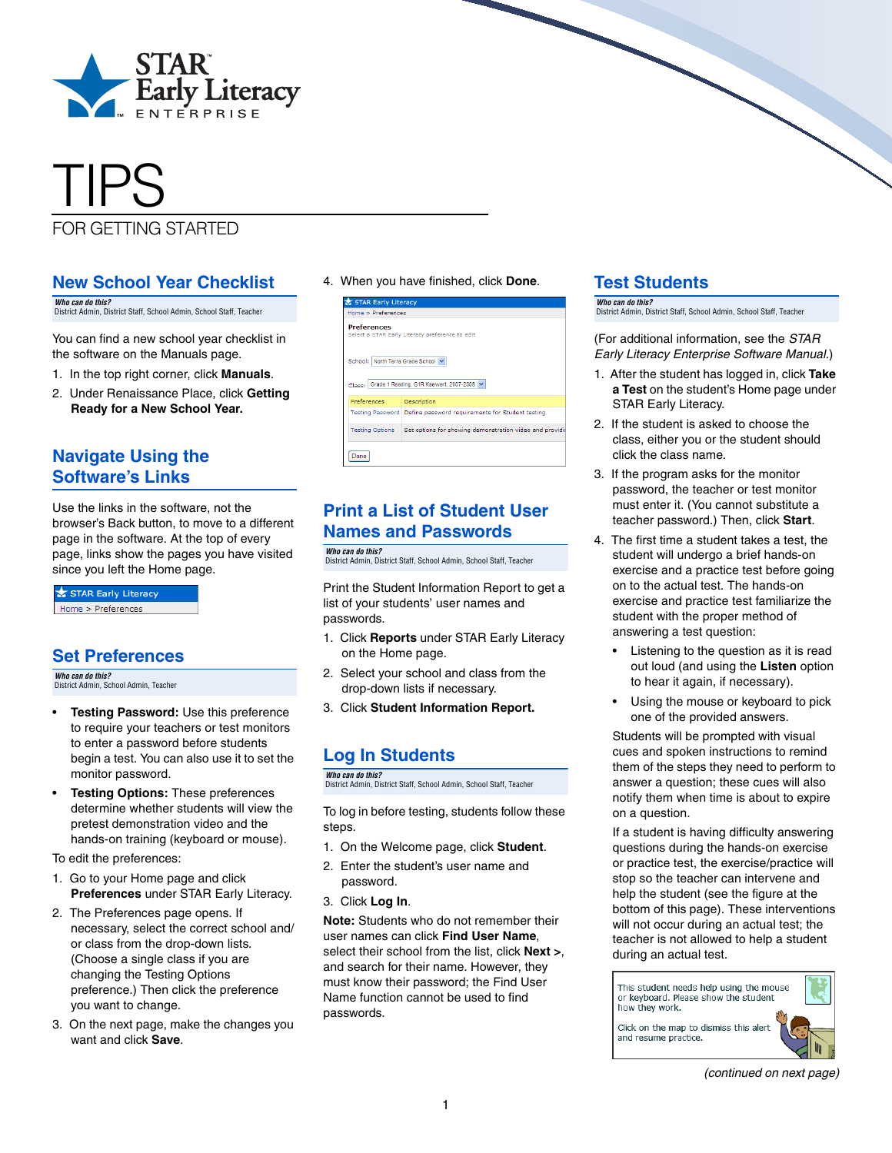

## TIPS FOR GETTING STARTED

#### **New School Year Checklist**

*Who can do this?*  District Admin, District Staff, School Admin, School Staff, Teacher

You can find a new school year checklist in the software on the Manuals page.

- 1. In the top right corner, click **Manuals**.
- 2. Under Renaissance Place, click **Getting Ready for a New School Year.**

#### **Navigate Using the Software's Links**

Use the links in the software, not the browser's Back button, to move to a different page in the software. At the top of every page, links show the pages you have visited since you left the Home page.

STAR Early Literacy Home > Preferences

#### **Set Preferences**

*Who can do this?*  District Admin, School Admin, Teacher

- **Testing Password:** Use this preference to require your teachers or test monitors to enter a password before students begin a test. You can also use it to set the monitor password.
- **Testing Options:** These preferences determine whether students will view the pretest demonstration video and the hands-on training (keyboard or mouse).

To edit the preferences:

- 1. Go to your Home page and click **Preferences** under STAR Early Literacy.
- 2. The Preferences page opens. If necessary, select the correct school and/ or class from the drop-down lists. (Choose a single class if you are changing the Testing Options preference.) Then click the preference you want to change.
- 3. On the next page, make the changes you want and click **Save**.

4. When you have finished, click **Done**.

| <b>Preferences</b><br>Select a STAR Early Literacy preference to edit<br>School: North Terra Grade School V<br>Class: Grade 1 Reading, G1R Kaewert, 2007-2008<br>Preferences<br>Description<br>Testing Password Define password requirements for Student testing |  |
|------------------------------------------------------------------------------------------------------------------------------------------------------------------------------------------------------------------------------------------------------------------|--|
|                                                                                                                                                                                                                                                                  |  |
|                                                                                                                                                                                                                                                                  |  |
|                                                                                                                                                                                                                                                                  |  |
|                                                                                                                                                                                                                                                                  |  |
| Set options for showing demonstration video and provi-<br><b>Testing Options</b>                                                                                                                                                                                 |  |

#### **Print a List of Student User Names and Passwords**

*Who can do this?*  District Admin, District Staff, School Admin, School Staff, Teacher

Print the Student Information Report to get a list of your students' user names and passwords.

- 1. Click **Reports** under STAR Early Literacy on the Home page.
- 2. Select your school and class from the drop-down lists if necessary.
- 3. Click **Student Information Report.**

#### **Log In Students**

*Who can do this?*  District Admin, District Staff, School Admin, School Staff, Teacher

To log in before testing, students follow these steps.

- 1. On the Welcome page, click **Student**.
- 2. Enter the student's user name and password.
- 3. Click **Log In**.

**Note:** Students who do not remember their user names can click **Find User Name**, select their school from the list, click **Next >**, and search for their name. However, they must know their password; the Find User Name function cannot be used to find passwords.

#### **Test Students**

*Who can do this?*  District Admin, District Staff, School Admin, School Staff, Teacher

(For additional information, see the *STAR Early Literacy Enterprise Software Manual.*)

- 1. After the student has logged in, click **Take a Test** on the student's Home page under STAR Early Literacy.
- 2. If the student is asked to choose the class, either you or the student should click the class name.
- 3. If the program asks for the monitor password, the teacher or test monitor must enter it. (You cannot substitute a teacher password.) Then, click **Start**.
- 4. The first time a student takes a test, the student will undergo a brief hands-on exercise and a practice test before going on to the actual test. The hands-on exercise and practice test familiarize the student with the proper method of answering a test question:
	- Listening to the question as it is read out loud (and using the **Listen** option to hear it again, if necessary).
	- Using the mouse or keyboard to pick one of the provided answers.

Students will be prompted with visual cues and spoken instructions to remind them of the steps they need to perform to answer a question; these cues will also notify them when time is about to expire on a question.

If a student is having difficulty answering questions during the hands-on exercise or practice test, the exercise/practice will stop so the teacher can intervene and help the student (see the figure at the bottom of this page). These interventions will not occur during an actual test; the teacher is not allowed to help a student during an actual test.

This student needs help using the mouse or keyboard. Please show the student how they work. Click on the map to dismiss this alert and resume practice.

 *(continued on next page)*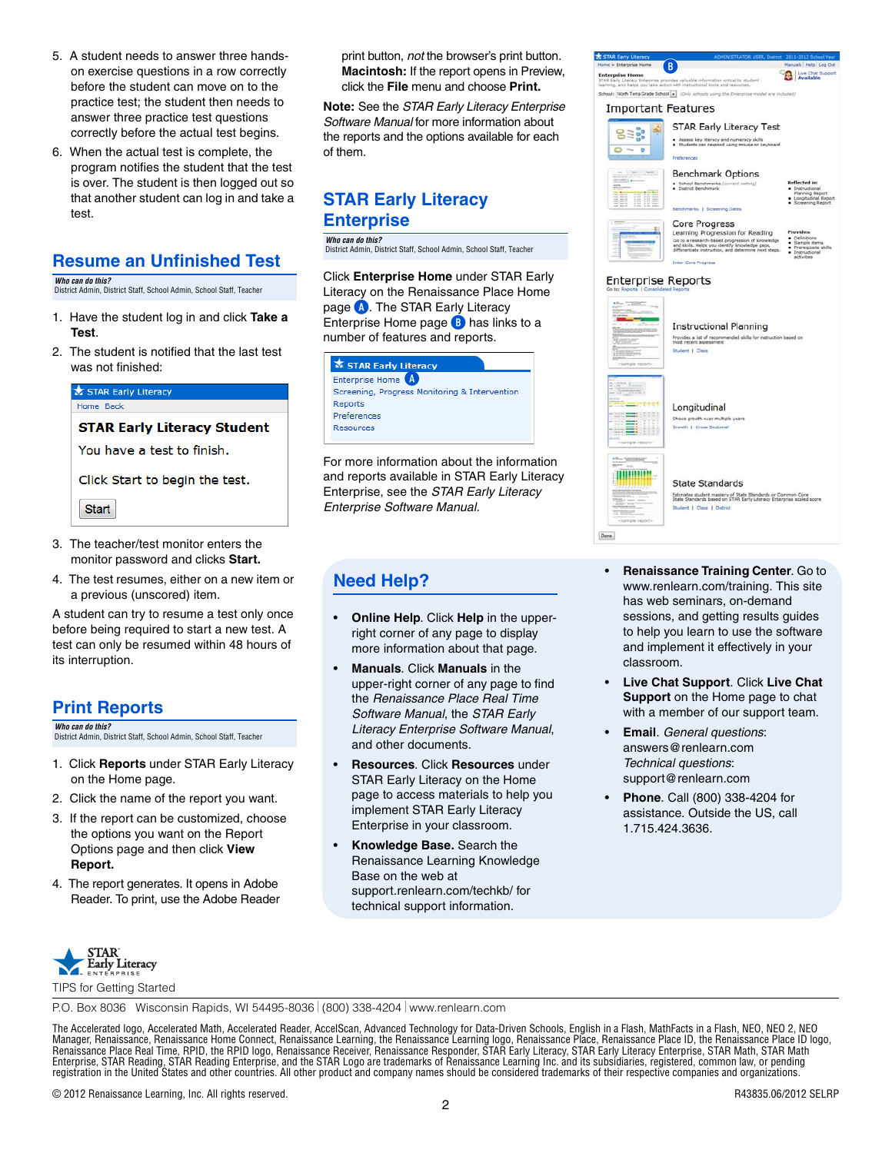- 5. A student needs to answer three handson exercise questions in a row correctly before the student can move on to the practice test; the student then needs to answer three practice test questions correctly before the actual test begins.
- 6. When the actual test is complete, the program notifies the student that the test is over. The student is then logged out so that another student can log in and take a test.

#### **Resume an Unfinished Test**

*Who can do this?* 

District Admin, District Staff, School Admin, School Staff, Teacher

- 1. Have the student log in and click **Take a Test**.
- 2. The student is notified that the last test was not finished:



- 3. The teacher/test monitor enters the monitor password and clicks **Start.**
- 4. The test resumes, either on a new item or a previous (unscored) item.

A student can try to resume a test only once before being required to start a new test. A test can only be resumed within 48 hours of its interruption.

### **Print Reports**

*Who can do this?*  District Admin, District Staff, School Admin, School Staff, Teacher

- 1. Click **Reports** under STAR Early Literacy on the Home page.
- 2. Click the name of the report you want.
- 3. If the report can be customized, choose the options you want on the Report Options page and then click **View Report.**
- 4. The report generates. It opens in Adobe Reader. To print, use the Adobe Reader

print button, *not* the browser's print button. **Macintosh:** If the report opens in Preview, click the **File** menu and choose **Print.**

**Note:** See the *STAR Early Literacy Enterprise Software Manual* for more information about the reports and the options available for each of them.

#### **STAR Early Literacy Enterprise**

*Who can do this?*  District Admin, District Staff, School Admin, School Staff, Teacher

Click **Enterprise Home** under STAR Early Literacy on the Renaissance Place Home page **A**. The STAR Early Literacy Enterprise Home page **B** has links to a number of features and reports.



For more information about the information and reports available in STAR Early Literacy Enterprise, see the *STAR Early Literacy Enterprise Software Manual.*

### **Need Help?**

- **Online Help**. Click **Help** in the upperright corner of any page to display more information about that page.
- **Manuals**. Click **Manuals** in the upper-right corner of any page to find the *Renaissance Place Real Time Software Manual*, the *STAR Early Literacy Enterprise Software Manual*, and other documents.
- **Resources**. Click **Resources** under STAR Early Literacy on the Home page to access materials to help you implement STAR Early Literacy Enterprise in your classroom.
- **Knowledge Base.** [Search the](support.renlearn.com/techkb/)  [Renaissance Learning Knowledge](support.renlearn.com/techkb/)  Base on the web at [support.renlearn.com/techkb/ for](http://support.renlearn.com/techkb/)  [technical support information.](http://support.renlearn.com/techkb/)



- **Renaissance Training Center**[. Go to](http://www.renlearn.com/training)  www.renlearn.com/training. This site has web seminars, on-demand sessions, and getting results guides [to help you learn to use the software](http://www.renlearn.com/training)  and implement it effectively in your classroom.
- **Live Chat Support**. Click **Live Chat Support** on the Home page to chat with a member of our support team.
- **Email**. *General questions*[:](mailto:answers@renlearn.com)  [answers@renlearn.com](mailto:answers@renlearn.com)  *Technical questions*[:](mailto:support@renlearn.com)  [support@renlearn.com](mailto:support@renlearn.com)

Done

• **Phone**. Call (800) 338-4204 for assistance. Outside the US, call 1.715.424.3636.



TIPS for Getting Started

P.O. Box 8036 Wisconsin Rapids, WI 54495-8036 (800) 338-4204 www.renlearn.com

The Accelerated logo, Accelerated Math, Accelerated Reader, AccelScan, Advanced Technology for Data-Driven Schools, English in a Flash, MathFacts in a Flash, NEO, NEO 2, NEO Manager, Renaissance, Renaissance Home Connect, Renaissance Learning, the Renaissance Learning logo, Renaissance Place, Renaissance Place ID, the Renaissance Place ID logo,<br>Renaissance Place Real Time, RPID, the RPID logo,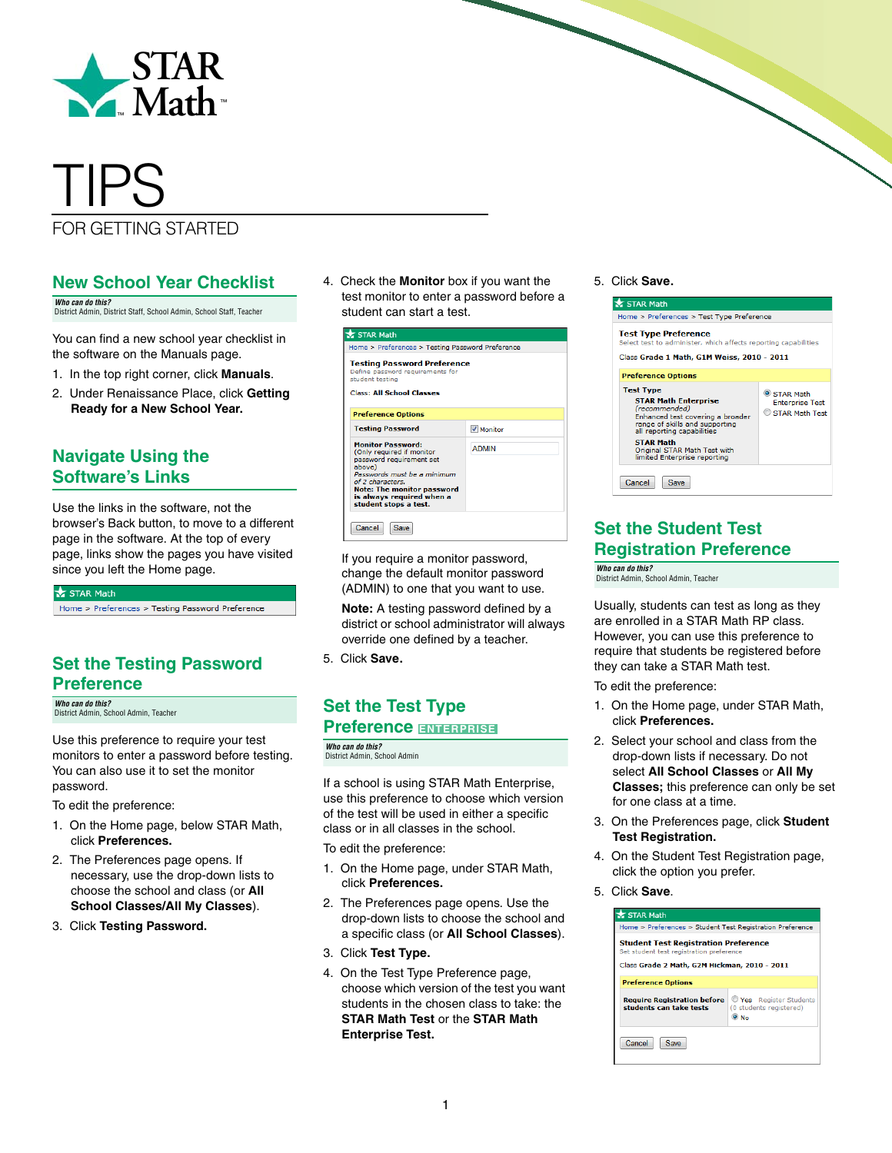

# TIPS

### FOR GETTING STARTED

#### **New School Year Checklist**

*Who can do this?*  District Admin, District Staff, School Admin, School Staff, Teacher

You can find a new school year checklist in the software on the Manuals page.

- 1. In the top right corner, click **Manuals**.
- 2. Under Renaissance Place, click **Getting Ready for a New School Year.**

#### **Navigate Using the Software's Links**

Use the links in the software, not the browser's Back button, to move to a different page in the software. At the top of every page, links show the pages you have visited since you left the Home page.

 $\bigstar$  STAR Math

Home > Preferences > Testing Password Preference

#### **Set the Testing Password Preference**

*Who can do this?*  District Admin, School Admin, Teacher

Use this preference to require your test monitors to enter a password before testing. You can also use it to set the monitor password.

To edit the preference:

- 1. On the Home page, below STAR Math, click **Preferences.**
- 2. The Preferences page opens. If necessary, use the drop-down lists to choose the school and class (or **All School Classes/All My Classes**).
- 3. Click **Testing Password.**

4. Check the **Monitor** box if you want the test monitor to enter a password before a student can start a test.

| STAR Math                                                                                                                                                                                                                                 |                  |  |  |  |
|-------------------------------------------------------------------------------------------------------------------------------------------------------------------------------------------------------------------------------------------|------------------|--|--|--|
| Home > Preferences > Testing Password Preference                                                                                                                                                                                          |                  |  |  |  |
| <b>Testing Password Preference</b><br>Define password requirements for<br>student testing<br><b>Class: All School Classes</b>                                                                                                             |                  |  |  |  |
| <b>Preference Options</b>                                                                                                                                                                                                                 |                  |  |  |  |
| <b>Testing Password</b>                                                                                                                                                                                                                   | <b>V</b> Monitor |  |  |  |
| <b>Monitor Password:</b><br>(Only required if monitor<br>password requirement set<br>above)<br>Passwords must be a minimum<br>of 2 characters.<br><b>Note: The monitor password</b><br>is always required when a<br>student stops a test. | <b>ADMIN</b>     |  |  |  |
| Cancel<br><b>Save</b>                                                                                                                                                                                                                     |                  |  |  |  |

If you require a monitor password, change the default monitor password (ADMIN) to one that you want to use.

**Note:** A testing password defined by a district or school administrator will always override one defined by a teacher.

5. Click **Save.**

#### **Set the Test Type Preference ENTERPRISE**

*Who can do this?*  District Admin, School Admin

If a school is using STAR Math Enterprise, use this preference to choose which version of the test will be used in either a specific class or in all classes in the school.

To edit the preference:

- 1. On the Home page, under STAR Math, click **Preferences.**
- 2. The Preferences page opens. Use the drop-down lists to choose the school and a specific class (or **All School Classes**).
- 3. Click **Test Type.**
- 4. On the Test Type Preference page, choose which version of the test you want students in the chosen class to take: the **STAR Math Test** or the **STAR Math Enterprise Test.**

#### 5. Click **Save.**



#### **Set the Student Test Registration Preference**

*Who can do this?*  District Admin, School Admin, Teacher

Usually, students can test as long as they are enrolled in a STAR Math RP class. However, you can use this preference to require that students be registered before they can take a STAR Math test.

To edit the preference:

- 1. On the Home page, under STAR Math, click **Preferences.**
- 2. Select your school and class from the drop-down lists if necessary. Do not select **All School Classes** or **All My Classes;** this preference can only be set for one class at a time.
- 3. On the Preferences page, click **Student Test Registration.**
- 4. On the Student Test Registration page, click the option you prefer.
- 5. Click **Save**.

| STAR Math                                                                               |                                                                  |  |  |  |
|-----------------------------------------------------------------------------------------|------------------------------------------------------------------|--|--|--|
| Home > Preferences > Student Test Registration Preference                               |                                                                  |  |  |  |
| <b>Student Test Registration Preference</b><br>Set student test registration preference |                                                                  |  |  |  |
| Class Grade 2 Math, G2M Hickman, 2010 - 2011                                            |                                                                  |  |  |  |
| <b>Preference Options</b>                                                               |                                                                  |  |  |  |
| <b>Require Registration before</b><br>students can take tests                           | Yes Register Students<br>(0 students registered)<br>$\bullet$ No |  |  |  |
| Cancel<br><b>Save</b>                                                                   |                                                                  |  |  |  |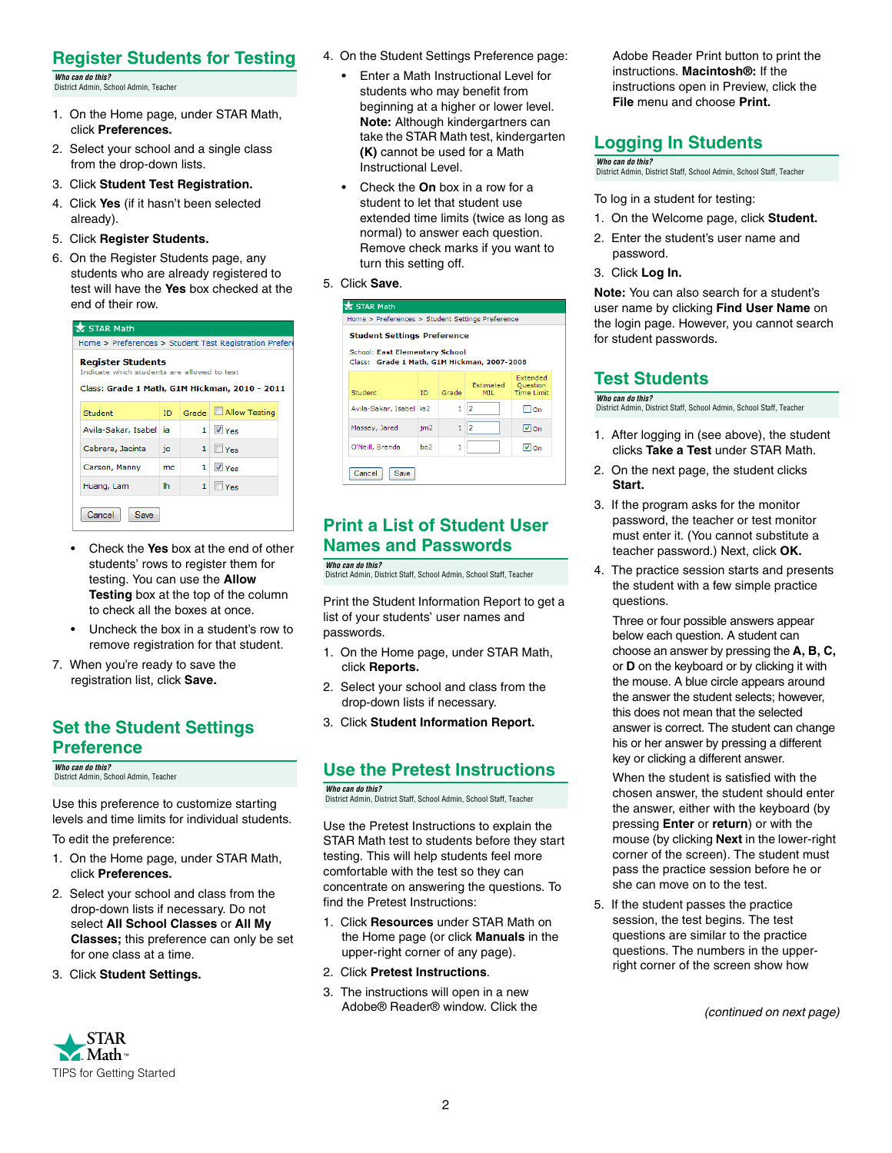#### **Register Students for Testing**

*Who can do this?*  District Admin, School Admin, Teacher

- 1. On the Home page, under STAR Math, click **Preferences.**
- 2. Select your school and a single class from the drop-down lists.
- 3. Click **Student Test Registration.**
- 4. Click **Yes** (if it hasn't been selected already).
- 5. Click **Register Students.**
- 6. On the Register Students page, any students who are already registered to test will have the **Yes** box checked at the end of their row.

| STAR Math                                                                                                                |     |                |                            |  |  |
|--------------------------------------------------------------------------------------------------------------------------|-----|----------------|----------------------------|--|--|
| Home > Preferences > Student Test Registration Prefere                                                                   |     |                |                            |  |  |
| <b>Register Students</b><br>Indicate which students are allowed to test<br>Class: Grade 1 Math, G1M Hickman, 2010 - 2011 |     |                |                            |  |  |
| Student                                                                                                                  | ID  | Grade          | Allow Testing              |  |  |
| Avila-Sakar, Isabel                                                                                                      | ia. | 1 <sup>1</sup> | V Yes                      |  |  |
| Cabrera, Jacinta                                                                                                         | ic  | 1              | $\blacksquare$ Yes         |  |  |
| Carson, Manny                                                                                                            | mc  |                | $1$ $\sqrt{V_{\text{PC}}}$ |  |  |
| Huang, Lam                                                                                                               | lh  | $\mathbf{1}$   | $\blacksquare$ Yes         |  |  |
| Cancel<br>Save                                                                                                           |     |                |                            |  |  |

- Check the **Yes** box at the end of other students' rows to register them for testing. You can use the **Allow Testing** box at the top of the column to check all the boxes at once.
- Uncheck the box in a student's row to remove registration for that student.
- 7. When you're ready to save the registration list, click **Save.**

#### **Set the Student Settings Preference**

*Who can do this?*  District Admin, School Admin, Teacher

Use this preference to customize starting levels and time limits for individual students.

To edit the preference:

- 1. On the Home page, under STAR Math, click **Preferences.**
- 2. Select your school and class from the drop-down lists if necessary. Do not select **All School Classes** or **All My Classes;** this preference can only be set for one class at a time.
- 3. Click **Student Settings.**



- 4. On the Student Settings Preference page:
	- Enter a Math Instructional Level for students who may benefit from beginning at a higher or lower level. **Note:** Although kindergartners can take the STAR Math test, kindergarten **(K)** cannot be used for a Math Instructional Level.
	- Check the **On** box in a row for a student to let that student use extended time limits (twice as long as normal) to answer each question. Remove check marks if you want to turn this setting off.
- 5. Click **Save**.

| STAR Math<br>Home > Preferences > Student Settings Preference<br><b>Student Settings Preference</b><br><b>School: East Elementary School</b><br>Class: Grade 1 Math, G1M Hickman, 2007-2008 |                 |       |                   |                                                  |  |
|---------------------------------------------------------------------------------------------------------------------------------------------------------------------------------------------|-----------------|-------|-------------------|--------------------------------------------------|--|
| Student                                                                                                                                                                                     | ID.             | Grade | Estimated<br>MIL. | Extended<br><b>Ouestion</b><br><b>Time Limit</b> |  |
| Avila-Sakar, Isabel                                                                                                                                                                         | ia2             | 1     | 12                | ⊟on                                              |  |
| Massey, Jared                                                                                                                                                                               | im <sub>2</sub> | 1     | $\overline{2}$    | l⊽lon                                            |  |
| O'Neill, Brenda                                                                                                                                                                             | bo <sub>2</sub> | 1     |                   | l⊽lon                                            |  |
| Cancel<br>Save                                                                                                                                                                              |                 |       |                   |                                                  |  |

#### **Print a List of Student User Names and Passwords**

*Who can do this?*  District Admin, District Staff, School Admin, School Staff, Teacher

Print the Student Information Report to get a list of your students' user names and passwords.

- 1. On the Home page, under STAR Math, click **Reports.**
- 2. Select your school and class from the drop-down lists if necessary.
- 3. Click **Student Information Report.**

#### **Use the Pretest Instructions**

*Who can do this?*  District Admin, District Staff, School Admin, School Staff, Teacher

Use the Pretest Instructions to explain the STAR Math test to students before they start testing. This will help students feel more comfortable with the test so they can concentrate on answering the questions. To find the Pretest Instructions:

1. Click **Resources** under STAR Math on the Home page (or click **Manuals** in the upper-right corner of any page).

2

- 2. Click **Pretest Instructions**.
- 3. The instructions will open in a new Adobe® Reader® window. Click the

Adobe Reader Print button to print the instructions. **Macintosh®:** If the instructions open in Preview, click the **File** menu and choose **Print.**

#### **Logging In Students**

*Who can do this?*  District Admin, District Staff, School Admin, School Staff, Teacher

To log in a student for testing:

- 1. On the Welcome page, click **Student.**
- 2. Enter the student's user name and password.
- 3. Click **Log In.**

**Note:** You can also search for a student's user name by clicking **Find User Name** on the login page. However, you cannot search for student passwords.

### **Test Students**

*Who can do this?*  District Admin, District Staff, School Admin, School Staff, Teacher

- 1. After logging in (see above), the student clicks **Take a Test** under STAR Math.
- 2. On the next page, the student clicks **Start.**
- 3. If the program asks for the monitor password, the teacher or test monitor must enter it. (You cannot substitute a teacher password.) Next, click **OK.**
- 4. The practice session starts and presents the student with a few simple practice questions.

Three or four possible answers appear below each question. A student can choose an answer by pressing the **A, B, C,** or **D** on the keyboard or by clicking it with the mouse. A blue circle appears around the answer the student selects; however, this does not mean that the selected answer is correct. The student can change his or her answer by pressing a different key or clicking a different answer.

When the student is satisfied with the chosen answer, the student should enter the answer, either with the keyboard (by pressing **Enter** or **return**) or with the mouse (by clicking **Next** in the lower-right corner of the screen). The student must pass the practice session before he or she can move on to the test.

5. If the student passes the practice session, the test begins. The test questions are similar to the practice questions. The numbers in the upperright corner of the screen show how

 *(continued on next page)*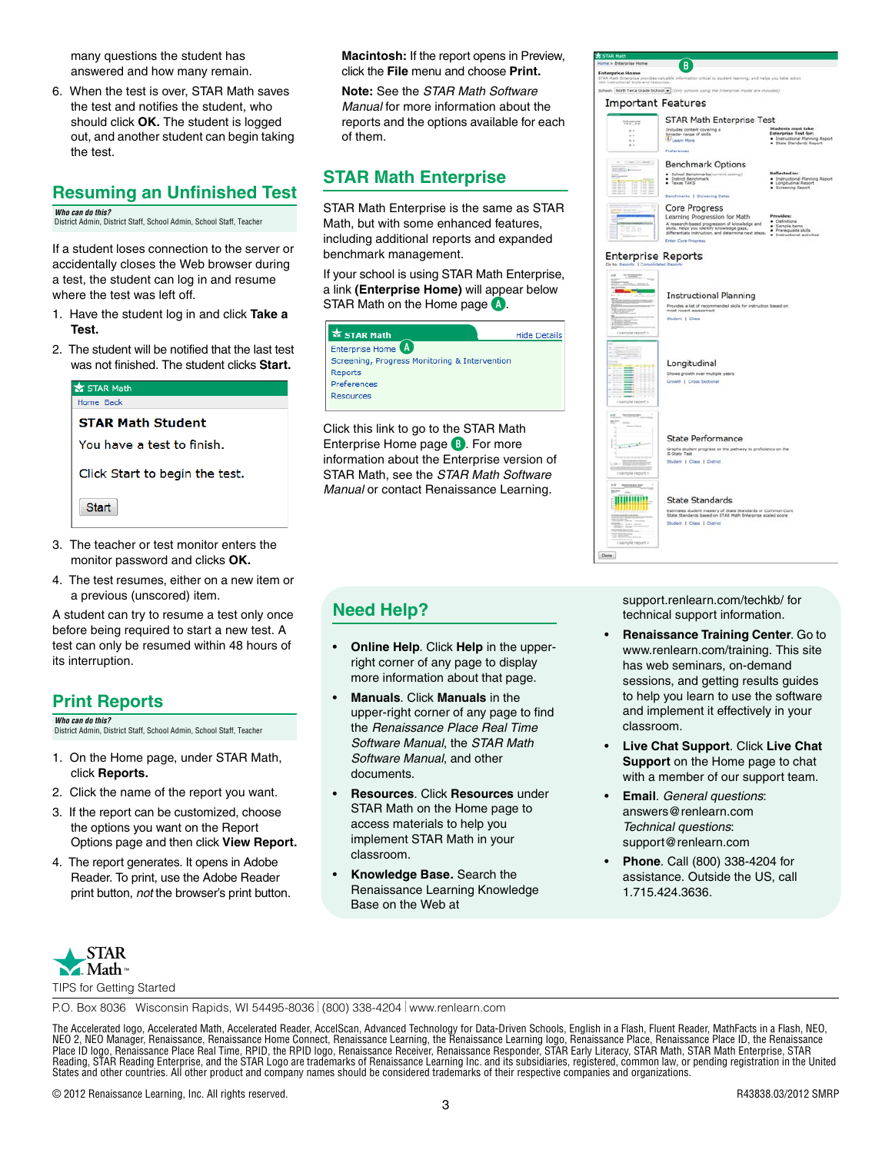many questions the student has answered and how many remain.

6. When the test is over, STAR Math saves the test and notifies the student, who should click **OK.** The student is logged out, and another student can begin taking the test.

#### **Resuming an Unfinished Test**

*Who can do this?*  District Admin, District Staff, School Admin, School Staff, Teacher

If a student loses connection to the server or accidentally closes the Web browser during a test, the student can log in and resume where the test was left off.

- 1. Have the student log in and click **Take a Test.**
- 2. The student will be notified that the last test was not finished. The student clicks **Start.**

| STAR Math<br>Home Back         |
|--------------------------------|
| <b>STAR Math Student</b>       |
| You have a test to finish.     |
| Click Start to begin the test. |
| <b>Start</b>                   |

- 3. The teacher or test monitor enters the monitor password and clicks **OK.**
- 4. The test resumes, either on a new item or a previous (unscored) item.

A student can try to resume a test only once before being required to start a new test. A test can only be resumed within 48 hours of its interruption.

### **Print Reports**

*Who can do this?*  District Admin, District Staff, School Admin, School Staff, Teacher

- 1. On the Home page, under STAR Math, click **Reports.**
- 2. Click the name of the report you want.
- 3. If the report can be customized, choose the options you want on the Report Options page and then click **View Report.**
- 4. The report generates. It opens in Adobe Reader. To print, use the Adobe Reader print button, *not* the browser's print button.

**Macintosh:** If the report opens in Preview, click the **File** menu and choose **Print.**

**Note:** See the *STAR Math Software Manual* for more information about the reports and the options available for each of them.

#### **STAR Math Enterprise**

STAR Math Enterprise is the same as STAR Math, but with some enhanced features, including additional reports and expanded benchmark management.

If your school is using STAR Math Enterprise, a link **(Enterprise Home)** will appear below STAR Math on the Home page **A**.

| <b>X STAR Math</b>                            | <b>Hide Details</b> |
|-----------------------------------------------|---------------------|
| Enterprise Home A                             |                     |
| Screening, Progress Monitoring & Intervention |                     |
| Reports                                       |                     |
| Preferences                                   |                     |
| Resources                                     |                     |

Click this link to go to the STAR Math Enterprise Home page **B**. For more information about the Enterprise version of STAR Math, see the *STAR Math Software Manual* or contact Renaissance Learning.

#### **Need Help?**

- **Online Help**. Click **Help** in the upperright corner of any page to display more information about that page.
- **Manuals**. Click **Manuals** in the upper-right corner of any page to find the *Renaissance Place Real Time Software Manual*, the *STAR Math Software Manual*, and other documents.
- **Resources**. Click **Resources** under STAR Math on the Home page to access materials to help you implement STAR Math in your classroom.
- **Knowledge Base.** [Search the](support.renlearn.com/techkb/)  [Renaissance Learning Knowledge](support.renlearn.com/techkb/)  Base on the Web at



[support.renlearn.com/techkb/ for](http://support.renlearn.com/techkb/)  [technical support information.](http://support.renlearn.com/techkb/)

Done

- **Renaissance Training Center**[. Go to](http://www.renlearn.com/training)  www.renlearn.com/training. This site has web seminars, on-demand sessions, and getting results guides [to help you learn to use the software](http://www.renlearn.com/training)  and implement it effectively in your classroom.
- **Live Chat Support**. Click **Live Chat Support** on the Home page to chat with a member of our support team.
- **Email**. *General questions*[:](mailto:answers@renlearn.com)  [answers@renlearn.com](mailto:answers@renlearn.com)  *Technical questions*[:](mailto:support@renlearn.com)  [support@renlearn.com](mailto:support@renlearn.com)
- **Phone**. Call (800) 338-4204 for assistance. Outside the US, call 1.715.424.3636.



P.O. Box 8036 Wisconsin Rapids, WI 54495-8036 (800) 338-4204 www.renlearn.com

The Accelerated logo, Accelerated Math, Accelerated Reader, AccelScan, Advanced Technology for Data-Driven Schools, English in a Flash, Fluent Reader, MathFacts in a Flash, NEO,<br>NEO 2, NEO Manager, Renaissance, Renaissance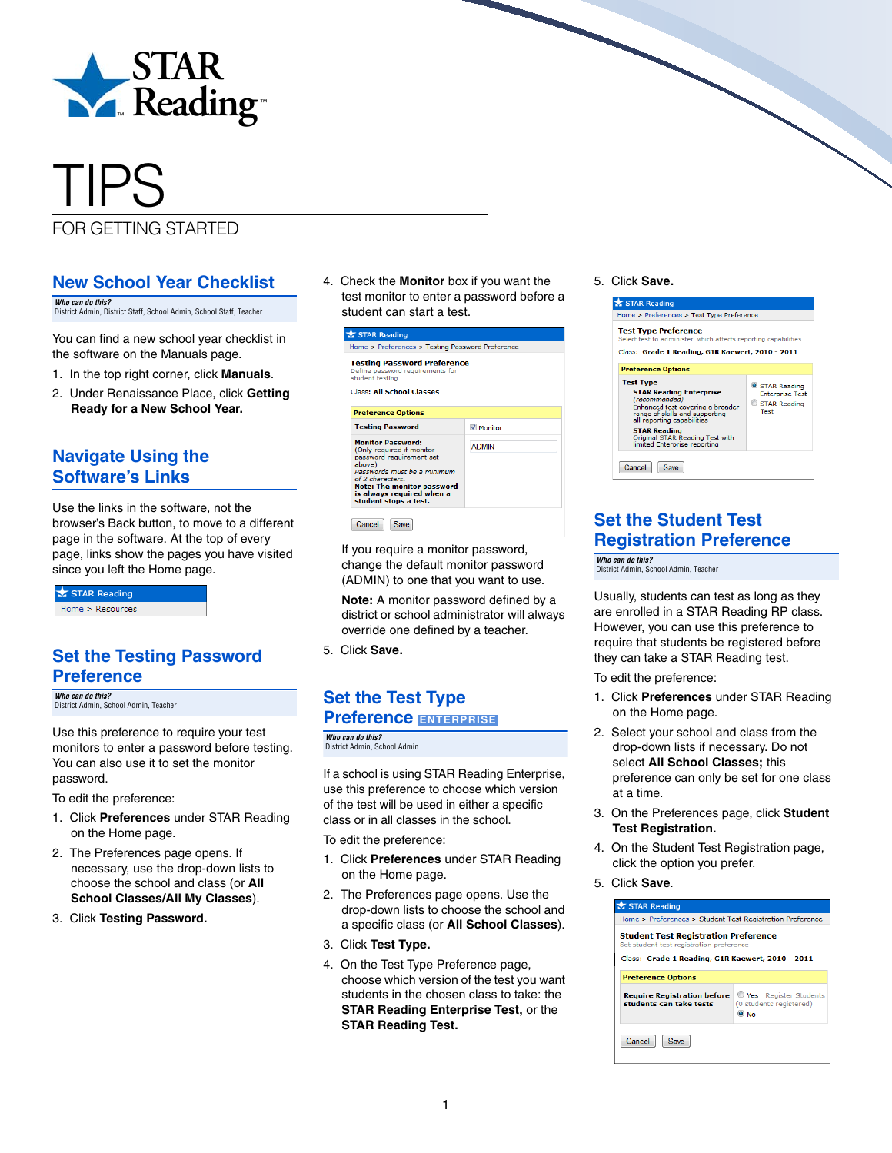

# TIPS

#### FOR GETTING STARTED

#### **New School Year Checklist**

*Who can do this?*  District Admin, District Staff, School Admin, School Staff, Teacher

You can find a new school year checklist in the software on the Manuals page.

- 1. In the top right corner, click **Manuals**.
- 2. Under Renaissance Place, click **Getting Ready for a New School Year.**

#### **Navigate Using the Software's Links**

Use the links in the software, not the browser's Back button, to move to a different page in the software. At the top of every page, links show the pages you have visited since you left the Home page.

STAR Reading Home > Resources

#### **Set the Testing Password Preference**

*Who can do this?*  District Admin, School Admin, Teacher

Use this preference to require your test monitors to enter a password before testing. You can also use it to set the monitor password.

To edit the preference:

- 1. Click **Preferences** under STAR Reading on the Home page.
- 2. The Preferences page opens. If necessary, use the drop-down lists to choose the school and class (or **All School Classes/All My Classes**).
- 3. Click **Testing Password.**

4. Check the **Monitor** box if you want the test monitor to enter a password before a student can start a test.

| STAR Reading                                                                                                                                                                                                                              |                  |
|-------------------------------------------------------------------------------------------------------------------------------------------------------------------------------------------------------------------------------------------|------------------|
| Home > Preferences > Testing Password Preference                                                                                                                                                                                          |                  |
| <b>Testing Password Preference</b><br>Define password requirements for<br>student testing<br><b>Class: All School Classes</b>                                                                                                             |                  |
| <b>Preference Options</b>                                                                                                                                                                                                                 |                  |
| <b>Testing Password</b>                                                                                                                                                                                                                   | <b>V</b> Monitor |
| <b>Monitor Password:</b><br>(Only required if monitor<br>password requirement set<br>above)<br>Passwords must be a minimum<br>of 2 characters.<br><b>Note: The monitor password</b><br>is always required when a<br>student stops a test. | <b>ADMIN</b>     |
| Cancel<br>Save                                                                                                                                                                                                                            |                  |

If you require a monitor password, change the default monitor password (ADMIN) to one that you want to use.

**Note:** A monitor password defined by a district or school administrator will always override one defined by a teacher.

5. Click **Save.** 

## **Set the Test Type**

#### **Preference ENTERPRISE**

*Who can do this?*  District Admin, School Admin

If a school is using STAR Reading Enterprise, use this preference to choose which version of the test will be used in either a specific class or in all classes in the school.

To edit the preference:

- 1. Click **Preferences** under STAR Reading on the Home page.
- 2. The Preferences page opens. Use the drop-down lists to choose the school and a specific class (or **All School Classes**).
- 3. Click **Test Type.**
- 4. On the Test Type Preference page, choose which version of the test you want students in the chosen class to take: the **STAR Reading Enterprise Test,** or the **STAR Reading Test.**

#### 5. Click **Save.**



#### **Set the Student Test Registration Preference**

*Who can do this?*  District Admin, School Admin, Teacher

Usually, students can test as long as they are enrolled in a STAR Reading RP class. However, you can use this preference to require that students be registered before they can take a STAR Reading test.

To edit the preference:

- 1. Click **Preferences** under STAR Reading on the Home page.
- 2. Select your school and class from the drop-down lists if necessary. Do not select **All School Classes;** this preference can only be set for one class at a time.
- 3. On the Preferences page, click **Student Test Registration.**
- 4. On the Student Test Registration page, click the option you prefer.
- 5. Click **Save**.

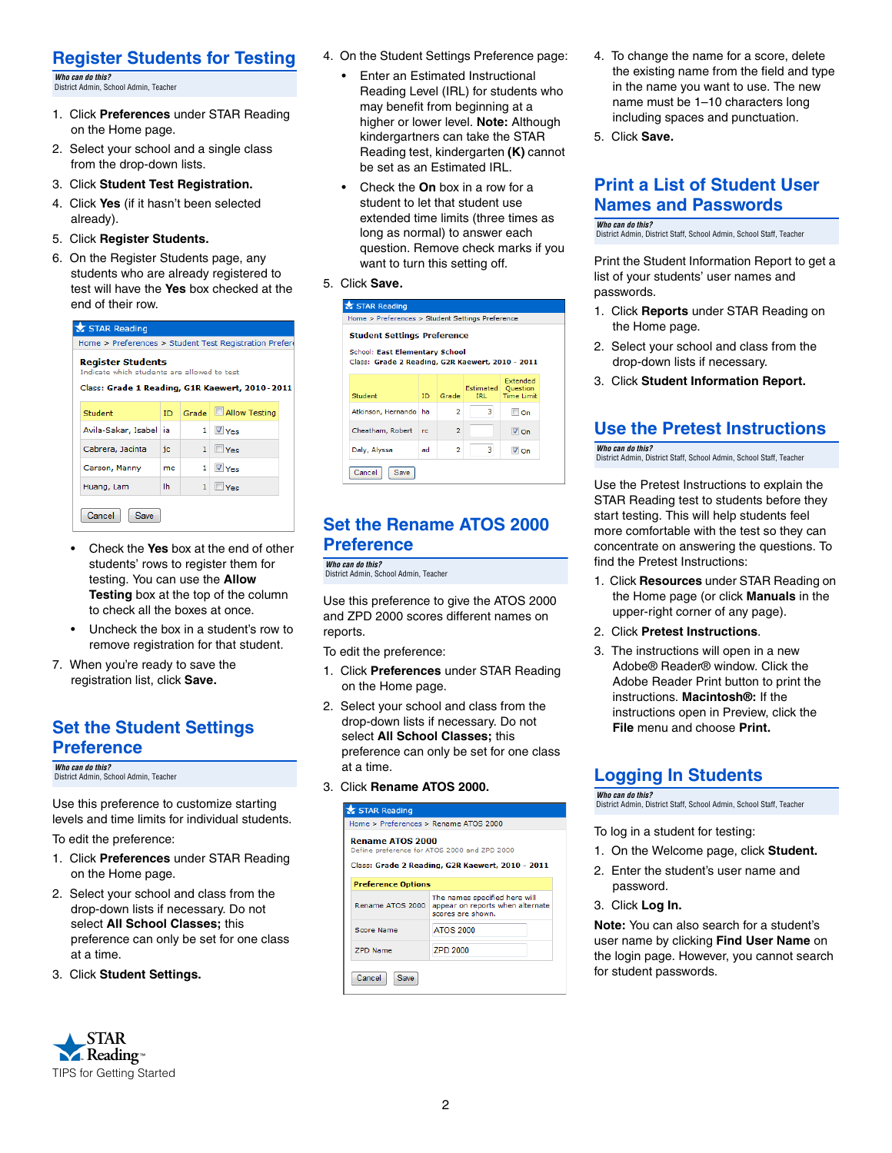#### **Register Students for Testing**

*Who can do this?*  District Admin, School Admin, Teacher

- 1. Click **Preferences** under STAR Reading on the Home page.
- 2. Select your school and a single class from the drop-down lists.
- 3. Click **Student Test Registration.**
- 4. Click **Yes** (if it hasn't been selected already).
- 5. Click **Register Students.**
- 6. On the Register Students page, any students who are already registered to test will have the **Yes** box checked at the end of their row.

| STAR Reading                                                                                                              |           |              |                        |  |  |  |
|---------------------------------------------------------------------------------------------------------------------------|-----------|--------------|------------------------|--|--|--|
| Home > Preferences > Student Test Registration Prefere                                                                    |           |              |                        |  |  |  |
| <b>Register Students</b><br>Indicate which students are allowed to test<br>Class: Grade 1 Reading, G1R Kaewert, 2010-2011 |           |              |                        |  |  |  |
|                                                                                                                           |           |              |                        |  |  |  |
| Student                                                                                                                   | ID        | Grade        | Allow Testing          |  |  |  |
| Avila-Sakar, Isabel                                                                                                       | ia.       |              | $1 \sqrt{\frac{1}{2}}$ |  |  |  |
| Cabrera, Jacinta                                                                                                          | jc        | 1            | $\blacksquare$ Yes     |  |  |  |
| Carson, Manny                                                                                                             | mc        |              | $1 \sqrt{\frac{1}{2}}$ |  |  |  |
| Huang, Lam                                                                                                                | <b>Ih</b> | $\mathbf{1}$ | $\blacksquare$ Yes     |  |  |  |
| Cancel<br>Save                                                                                                            |           |              |                        |  |  |  |

- Check the **Yes** box at the end of other students' rows to register them for testing. You can use the **Allow Testing** box at the top of the column to check all the boxes at once.
- Uncheck the box in a student's row to remove registration for that student.
- 7. When you're ready to save the registration list, click **Save.**

#### **Set the Student Settings Preference**

*Who can do this?*  District Admin, School Admin, Teacher

Use this preference to customize starting levels and time limits for individual students.

To edit the preference:

- 1. Click **Preferences** under STAR Reading on the Home page.
- 2. Select your school and class from the drop-down lists if necessary. Do not select **All School Classes;** this preference can only be set for one class at a time.
- 3. Click **Student Settings.**



- 4. On the Student Settings Preference page:
	- Enter an Estimated Instructional Reading Level (IRL) for students who may benefit from beginning at a higher or lower level. **Note:** Although kindergartners can take the STAR Reading test, kindergarten **(K)** cannot be set as an Estimated IRL.
	- Check the **On** box in a row for a student to let that student use extended time limits (three times as long as normal) to answer each question. Remove check marks if you want to turn this setting off.
- 5. Click **Save.**

| <b>Student Settings Preference</b><br><b>School: East Elementary School</b><br>Class: Grade 2 Reading, G2R Kaewert, 2010 - 2011 |     |                |                   |                                                  |
|---------------------------------------------------------------------------------------------------------------------------------|-----|----------------|-------------------|--------------------------------------------------|
| Student                                                                                                                         | ID. | Grade          | Estimated<br>TRI. | Extended<br><b>Ouestion</b><br><b>Time Limit</b> |
| Atkinson, Hernando   ha                                                                                                         |     | $\overline{a}$ | 3                 | I⊟ On                                            |
| Cheatham, Robert                                                                                                                | rc. | $\overline{2}$ |                   | Von                                              |
| Daly, Alyssa                                                                                                                    | ad  | 2              | 3                 | $V$ On                                           |

#### **Set the Rename ATOS 2000 Preference**

*Who can do this?*  District Admin, School Admin, Teacher

Use this preference to give the ATOS 2000 and ZPD 2000 scores different names on reports.

To edit the preference:

- 1. Click **Preferences** under STAR Reading on the Home page.
- 2. Select your school and class from the drop-down lists if necessary. Do not select **All School Classes;** this preference can only be set for one class at a time.
- 3. Click **Rename ATOS 2000.**

| STAR Reading                                                                                                                |                                                                                        |  |  |  |
|-----------------------------------------------------------------------------------------------------------------------------|----------------------------------------------------------------------------------------|--|--|--|
| Home > Preferences > Rename ATOS 2000                                                                                       |                                                                                        |  |  |  |
| <b>Rename ATOS 2000</b><br>Define preference for ATOS 2000 and ZPD 2000<br>Class: Grade 2 Reading, G2R Kaewert, 2010 - 2011 |                                                                                        |  |  |  |
| <b>Preference Options</b>                                                                                                   |                                                                                        |  |  |  |
| Rename ATOS 2000                                                                                                            | The names specified here will<br>appear on reports when alternate<br>scores are shown. |  |  |  |
| Score Name                                                                                                                  | <b>ATOS 2000</b>                                                                       |  |  |  |
| <b>7PD Name</b>                                                                                                             | <b>ZPD 2000</b>                                                                        |  |  |  |
| Cancel<br>Save                                                                                                              |                                                                                        |  |  |  |

- 4. To change the name for a score, delete the existing name from the field and type in the name you want to use. The new name must be 1–10 characters long including spaces and punctuation.
- 5. Click **Save.**

#### **Print a List of Student User Names and Passwords**

*Who can do this?*  District Admin, District Staff, School Admin, School Staff, Teacher

Print the Student Information Report to get a list of your students' user names and passwords.

- 1. Click **Reports** under STAR Reading on the Home page.
- 2. Select your school and class from the drop-down lists if necessary.
- 3. Click **Student Information Report.**

#### **Use the Pretest Instructions**

*Who can do this?*  District Admin, District Staff, School Admin, School Staff, Teacher

Use the Pretest Instructions to explain the STAR Reading test to students before they start testing. This will help students feel more comfortable with the test so they can concentrate on answering the questions. To find the Pretest Instructions:

- 1. Click **Resources** under STAR Reading on the Home page (or click **Manuals** in the upper-right corner of any page).
- 2. Click **Pretest Instructions**.
- 3. The instructions will open in a new Adobe® Reader® window. Click the Adobe Reader Print button to print the instructions. **Macintosh®:** If the instructions open in Preview, click the **File** menu and choose **Print.**

#### **Logging In Students**

*Who can do this?*  District Admin, District Staff, School Admin, School Staff, Teacher

To log in a student for testing:

- 1. On the Welcome page, click **Student.**
- 2. Enter the student's user name and password.
- 3. Click **Log In.**

**Note:** You can also search for a student's user name by clicking **Find User Name** on the login page. However, you cannot search for student passwords.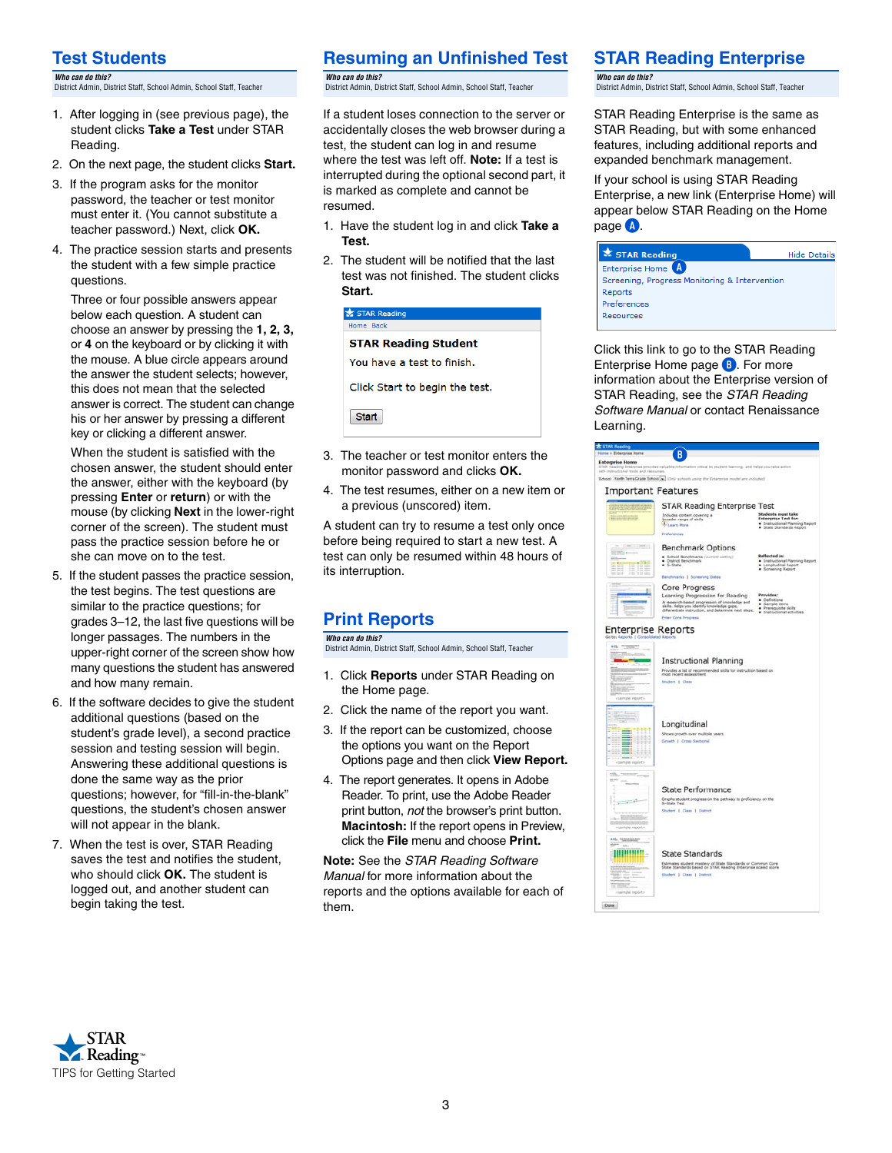#### **Test Students**

*Who can do this?*  District Admin, District Staff, School Admin, School Staff, Teacher

- 1. After logging in (see previous page), the student clicks **Take a Test** under STAR Reading.
- 2. On the next page, the student clicks **Start.**
- 3. If the program asks for the monitor password, the teacher or test monitor must enter it. (You cannot substitute a teacher password.) Next, click **OK.**
- 4. The practice session starts and presents the student with a few simple practice questions.

Three or four possible answers appear below each question. A student can choose an answer by pressing the **1, 2, 3,** or **4** on the keyboard or by clicking it with the mouse. A blue circle appears around the answer the student selects; however, this does not mean that the selected answer is correct. The student can change his or her answer by pressing a different key or clicking a different answer.

When the student is satisfied with the chosen answer, the student should enter the answer, either with the keyboard (by pressing **Enter** or **return**) or with the mouse (by clicking **Next** in the lower-right corner of the screen). The student must pass the practice session before he or she can move on to the test.

- 5. If the student passes the practice session, the test begins. The test questions are similar to the practice questions; for grades 3–12, the last five questions will be longer passages. The numbers in the upper-right corner of the screen show how many questions the student has answered and how many remain.
- 6. If the software decides to give the student additional questions (based on the student's grade level), a second practice session and testing session will begin. Answering these additional questions is done the same way as the prior questions; however, for "fill-in-the-blank" questions, the student's chosen answer will not appear in the blank.
- 7. When the test is over, STAR Reading saves the test and notifies the student, who should click **OK.** The student is logged out, and another student can begin taking the test.

#### **Resuming an Unfinished Test**

*Who can do this?*  District Admin, District Staff, School Admin, School Staff, Teacher

If a student loses connection to the server or accidentally closes the web browser during a test, the student can log in and resume where the test was left off. **Note:** If a test is interrupted during the optional second part, it is marked as complete and cannot be resumed.

- 1. Have the student log in and click **Take a Test.**
- 2. The student will be notified that the last test was not finished. The student clicks **Start.**

#### $\star$  STAR Re Home Back

#### **STAR Reading Student**

You have a test to finish.

Click Start to begin the test.

**Start** 

- 3. The teacher or test monitor enters the monitor password and clicks **OK.**
- 4. The test resumes, either on a new item or a previous (unscored) item.

A student can try to resume a test only once before being required to start a new test. A test can only be resumed within 48 hours of its interruption.

#### **Print Reports**

*Who can do this?*  District Admin, District Staff, School Admin, School Staff, Teacher

- 1. Click **Reports** under STAR Reading on the Home page.
- 2. Click the name of the report you want.
- 3. If the report can be customized, choose the options you want on the Report Options page and then click **View Report.**
- 4. The report generates. It opens in Adobe Reader. To print, use the Adobe Reader print button, *not* the browser's print button. **Macintosh:** If the report opens in Preview, click the **File** menu and choose **Print.**

**Note:** See the *STAR Reading Software Manual* for more information about the reports and the options available for each of them.

#### **STAR Reading Enterprise**

*Who can do this?*  District Admin, District Staff, School Admin, School Staff, Teacher

STAR Reading Enterprise is the same as STAR Reading, but with some enhanced features, including additional reports and expanded benchmark management.

If your school is using STAR Reading Enterprise, a new link (Enterprise Home) will appear below STAR Reading on the Home page **A**.



Click this link to go to the STAR Reading Enterprise Home page **B**. For more information about the Enterprise version of STAR Reading, see the *STAR Reading Software Manual* or contact Renaissance Learning.